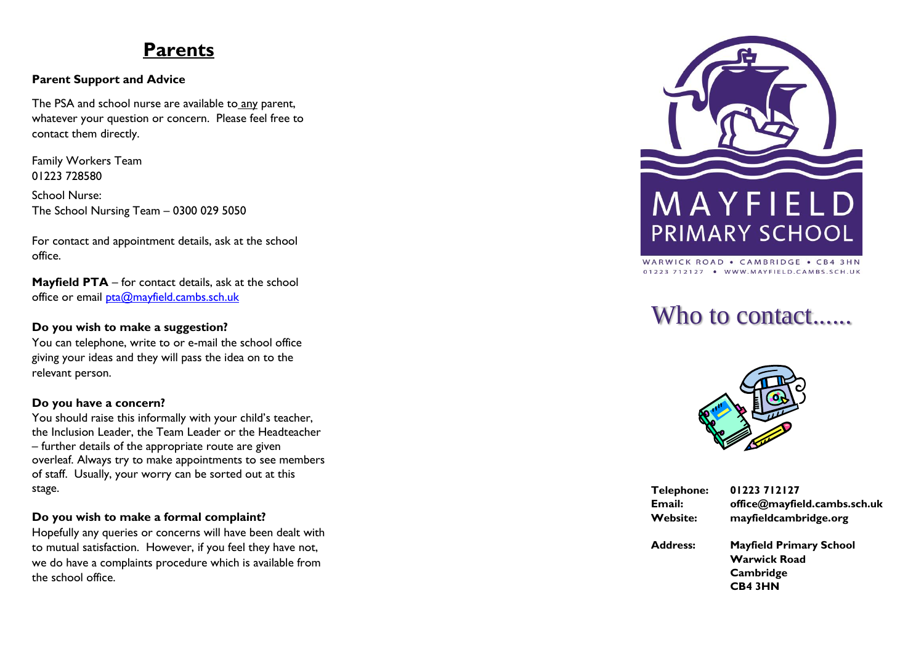## **Parents**

## **Parent Support and Advice**

The PSA and school nurse are available to any parent, whatever your question or concern. Please feel free to contact them directly.

Family Workers Team 01223 728580

School Nurse: The School Nursing Team – 0300 029 5050

For contact and appointment details, ask at the school office.

**Mayfield PTA** – for contact details, ask at the school office or email  $pta@$  mayfield.cambs.sch.uk

#### **Do you wish to make a suggestion?**

You can telephone, write to or e -mail the school office giving your ideas and they will pass the idea on to the relevant person.

#### **Do you have a concern?**

You should raise this informally with your child's teacher, the Inclusion Leader, the Team Leader or the Headteacher – further details of the appropriate route are given overleaf. Always try to make appointments to see members of staff. Usually, your worry can be sorted out at this stage.

## **Do you wish to make a formal complaint?**

Hopefully any queries or concerns will have been dealt with to mutual satisfaction. However, if you feel they have not, we do have a complaints procedure which is available from the school office.



WARWICK ROAD . CAMBRIDGE . CB4 3HN 01223 712127 . WWW.MAYFIELD.CAMBS.SCH.UK

## Who to contact......



| Telephone:      | 01223712127                                                                          |
|-----------------|--------------------------------------------------------------------------------------|
| Email:          | office@mayfield.cambs.sch.uk                                                         |
| <b>Website:</b> | mayfieldcambridge.org                                                                |
| <b>Address:</b> | <b>Mayfield Primary School</b><br><b>Warwick Road</b><br>Cambridge<br><b>CB4 3HN</b> |